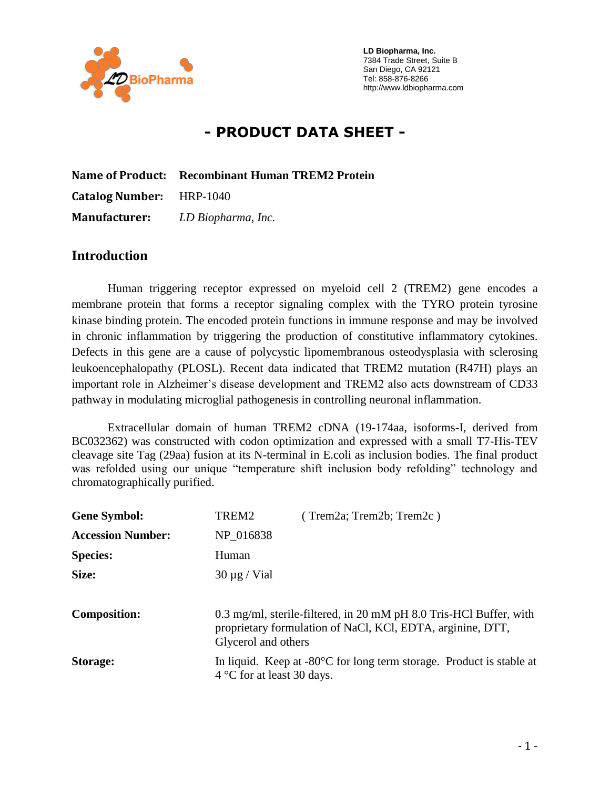

 **LD Biopharma, Inc.** 7384 Trade Street, Suite B San Diego, CA 92121 Tel: 858-876-8266 http://www.ldbiopharma.com

# **- PRODUCT DATA SHEET -**

|                                 | Name of Product: Recombinant Human TREM2 Protein |  |
|---------------------------------|--------------------------------------------------|--|
| <b>Catalog Number:</b> HRP-1040 |                                                  |  |
|                                 | <b>Manufacturer:</b> LD Biopharma, Inc.          |  |

### **Introduction**

Human triggering receptor expressed on myeloid cell 2 (TREM2) gene encodes a membrane protein that forms a receptor signaling complex with the TYRO protein tyrosine kinase binding protein. The encoded protein functions in immune response and may be involved in chronic inflammation by triggering the production of constitutive inflammatory cytokines. Defects in this gene are a cause of polycystic lipomembranous osteodysplasia with sclerosing leukoencephalopathy (PLOSL). Recent data indicated that TREM2 mutation (R47H) plays an important role in Alzheimer's disease development and TREM2 also acts downstream of CD33 pathway in modulating microglial pathogenesis in controlling neuronal inflammation.

Extracellular domain of human TREM2 cDNA (19-174aa, isoforms-I, derived from BC032362) was constructed with codon optimization and expressed with a small T7-His-TEV cleavage site Tag (29aa) fusion at its N-terminal in E.coli as inclusion bodies. The final product was refolded using our unique "temperature shift inclusion body refolding" technology and chromatographically purified.

| <b>Gene Symbol:</b>      | TREM2                                                                                                                                                   | (Trem2a; Trem2b; Trem2c)                                                       |
|--------------------------|---------------------------------------------------------------------------------------------------------------------------------------------------------|--------------------------------------------------------------------------------|
| <b>Accession Number:</b> | NP 016838                                                                                                                                               |                                                                                |
| <b>Species:</b>          | Human                                                                                                                                                   |                                                                                |
| Size:                    | $30 \mu g$ / Vial                                                                                                                                       |                                                                                |
|                          |                                                                                                                                                         |                                                                                |
| <b>Composition:</b>      | 0.3 mg/ml, sterile-filtered, in 20 mM pH 8.0 Tris-HCl Buffer, with<br>proprietary formulation of NaCl, KCl, EDTA, arginine, DTT,<br>Glycerol and others |                                                                                |
| Storage:                 | $4^{\circ}$ C for at least 30 days.                                                                                                                     | In liquid. Keep at $-80^{\circ}$ C for long term storage. Product is stable at |